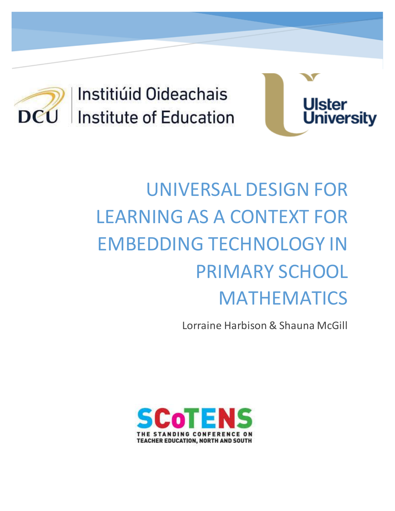

Institiúid Oideachais Institute of Education



# UNIVERSAL DESIGN FOR LEARNING AS A CONTEXT FOR EMBEDDING TECHNOLOGY IN PRIMARY SCHOOL MATHEMATICS

Lorraine Harbison & Shauna McGill

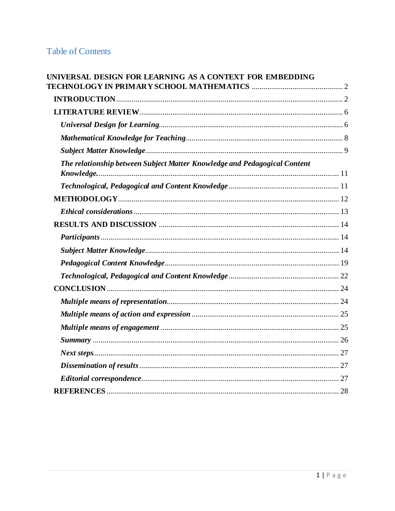# **Table of Contents**

<span id="page-1-0"></span>

| UNIVERSAL DESIGN FOR LEARNING AS A CONTEXT FOR EMBEDDING                  |  |
|---------------------------------------------------------------------------|--|
|                                                                           |  |
|                                                                           |  |
|                                                                           |  |
|                                                                           |  |
|                                                                           |  |
|                                                                           |  |
| The relationship between Subject Matter Knowledge and Pedagogical Content |  |
|                                                                           |  |
|                                                                           |  |
|                                                                           |  |
|                                                                           |  |
|                                                                           |  |
|                                                                           |  |
|                                                                           |  |
|                                                                           |  |
|                                                                           |  |
|                                                                           |  |
|                                                                           |  |
|                                                                           |  |
|                                                                           |  |
|                                                                           |  |
|                                                                           |  |
|                                                                           |  |
|                                                                           |  |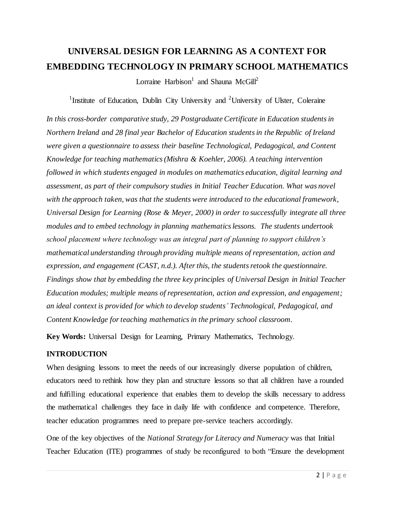# **UNIVERSAL DESIGN FOR LEARNING AS A CONTEXT FOR EMBEDDING TECHNOLOGY IN PRIMARY SCHOOL MATHEMATICS**

Lorraine Harbison<sup>1</sup> and Shauna McGill<sup>2</sup>

<sup>1</sup>Institute of Education, Dublin City University and <sup>2</sup>University of Ulster, Coleraine

*In this cross-border comparative study, 29 Postgraduate Certificate in Education students in Northern Ireland and 28 final year Bachelor of Education students in the Republic of Ireland were given a questionnaire to assess their baseline Technological, Pedagogical, and Content Knowledge for teaching mathematics (Mishra & Koehler, 2006). A teaching intervention followed in which students engaged in modules on mathematics education, digital learning and assessment, as part of their compulsory studies in Initial Teacher Education. What was novel with the approach taken, was that the students were introduced to the educational framework, Universal Design for Learning (Rose & Meyer, 2000) in order to successfully integrate all three modules and to embed technology in planning mathematics lessons. The students undertook school placement where technology was an integral part of planning to support children's mathematical understanding through providing multiple means of representation, action and expression, and engagement (CAST, n.d.). After this, the students retook the questionnaire. Findings show that by embedding the three key principles of Universal Design in Initial Teacher Education modules; multiple means of representation, action and expression, and engagement; an ideal context is provided for which to develop students' Technological, Pedagogical, and Content Knowledge for teaching mathematics in the primary school classroom.* 

**Key Words:** Universal Design for Learning, Primary Mathematics, Technology.

#### <span id="page-2-0"></span>**INTRODUCTION**

When designing lessons to meet the needs of our increasingly diverse population of children, educators need to rethink how they plan and structure lessons so that all children have a rounded and fulfilling educational experience that enables them to develop the skills necessary to address the mathematical challenges they face in daily life with confidence and competence. Therefore, teacher education programmes need to prepare pre-service teachers accordingly.

One of the key objectives of the *National Strategy for Literacy and Numeracy* was that Initial Teacher Education (ITE) programmes of study be reconfigured to both "Ensure the development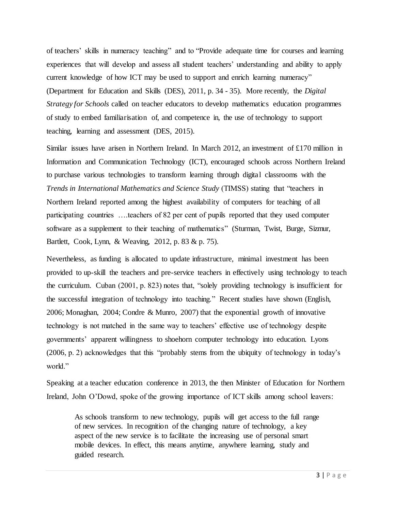of teachers' skills in numeracy teaching" and to "Provide adequate time for courses and learning experiences that will develop and assess all student teachers' understanding and ability to apply current knowledge of how ICT may be used to support and enrich learning numeracy" (Department for Education and Skills (DES), 2011, p. 34 - 35). More recently, the *Digital Strategy for Schools* called on teacher educators to develop mathematics education programmes of study to embed familiarisation of, and competence in, the use of technology to support teaching, learning and assessment (DES, 2015).

Similar issues have arisen in Northern Ireland. In March 2012, an investment of £170 million in Information and Communication Technology (ICT), encouraged schools across Northern Ireland to purchase various technologies to transform learning through digital classrooms with the *Trends in International Mathematics and Science Study* (TIMSS) stating that "teachers in Northern Ireland reported among the highest availability of computers for teaching of all participating countries ….teachers of 82 per cent of pupils reported that they used computer software as a supplement to their teaching of mathematics" (Sturman, Twist, Burge, Sizmur, Bartlett, Cook, Lynn, & Weaving, 2012, p. 83 & p. 75).

Nevertheless, as funding is allocated to update infrastructure, minimal investment has been provided to up-skill the teachers and pre-service teachers in effectively using technology to teach the curriculum. Cuban (2001, p. 823) notes that, "solely providing technology is insufficient for the successful integration of technology into teaching." Recent studies have shown (English, 2006; Monaghan, 2004; Condre & Munro, 2007) that the exponential growth of innovative technology is not matched in the same way to teachers' effective use of technology despite governments' apparent willingness to shoehorn computer technology into education. Lyons (2006, p. 2) acknowledges that this "probably stems from the ubiquity of technology in today's world."

Speaking at a teacher education conference in 2013, the then Minister of Education for Northern Ireland, John O'Dowd, spoke of the growing importance of ICT skills among school leavers:

As schools transform to new technology, pupils will get access to the full range of new services. In recognition of the changing nature of technology, a key aspect of the new service is to facilitate the increasing use of personal smart mobile devices. In effect, this means anytime, anywhere learning, study and guided research.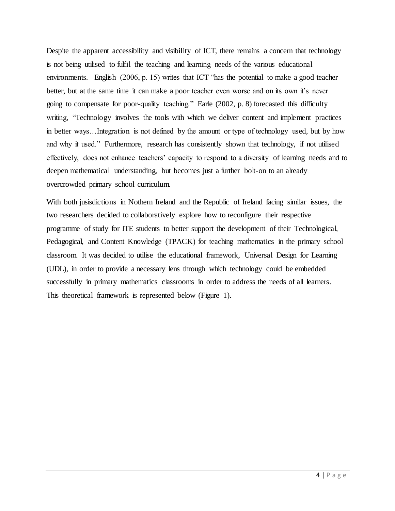Despite the apparent accessibility and visibility of ICT, there remains a concern that technology is not being utilised to fulfil the teaching and learning needs of the various educational environments. English (2006, p. 15) writes that ICT "has the potential to make a good teacher better, but at the same time it can make a poor teacher even worse and on its own it's never going to compensate for poor-quality teaching." Earle (2002, p. 8) forecasted this difficulty writing, "Technology involves the tools with which we deliver content and implement practices in better ways…Integration is not defined by the amount or type of technology used, but by how and why it used." Furthermore, research has consistently shown that technology, if not utilised effectively, does not enhance teachers' capacity to respond to a diversity of learning needs and to deepen mathematical understanding, but becomes just a further bolt-on to an already overcrowded primary school curriculum.

With both jusisdictions in Nothern Ireland and the Republic of Ireland facing similar issues, the two researchers decided to collaboratively explore how to reconfigure their respective programme of study for ITE students to better support the development of their Technological, Pedagogical, and Content Knowledge (TPACK) for teaching mathematics in the primary school classroom. It was decided to utilise the educational framework, Universal Design for Learning (UDL), in order to provide a necessary lens through which technology could be embedded successfully in primary mathematics classrooms in order to address the needs of all learners. This theoretical framework is represented below (Figure 1).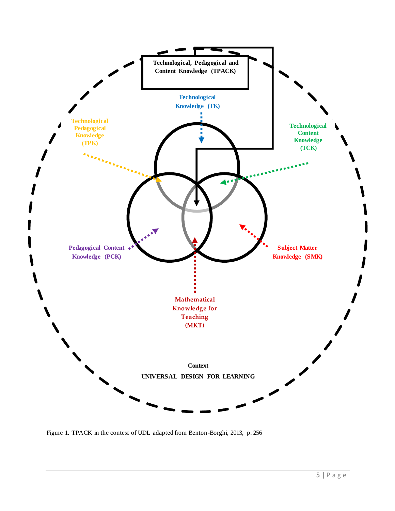

Figure 1. TPACK in the context of UDL adapted from Benton-Borghi, 2013, p. 256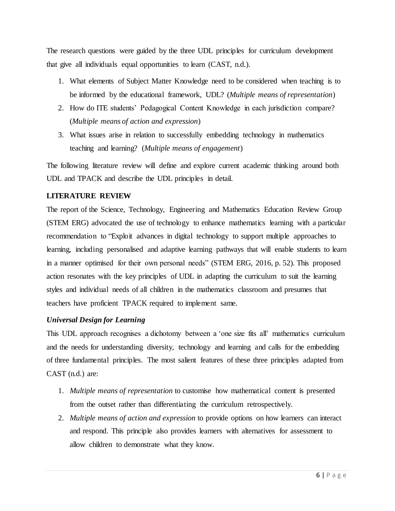The research questions were guided by the three UDL principles for curriculum development that give all individuals equal opportunities to learn (CAST, n.d.).

- 1. What elements of Subject Matter Knowledge need to be considered when teaching is to be informed by the educational framework, UDL? (*Multiple means of representation*)
- 2. How do ITE students' Pedagogical Content Knowledge in each jurisdiction compare? (*Multiple means of action and expression*)
- 3. What issues arise in relation to successfully embedding technology in mathematics teaching and learning? (*Multiple means of engagement*)

The following literature review will define and explore current academic thinking around both UDL and TPACK and describe the UDL principles in detail.

# <span id="page-6-0"></span>**LITERATURE REVIEW**

The report of the Science, Technology, Engineering and Mathematics Education Review Group (STEM ERG) advocated the use of technology to enhance mathematics learning with a particular recommendation to "Exploit advances in digital technology to support multiple approaches to learning, including personalised and adaptive learning pathways that will enable students to learn in a manner optimised for their own personal needs" (STEM ERG, 2016, p. 52). This proposed action resonates with the key principles of UDL in adapting the curriculum to suit the learning styles and individual needs of all children in the mathematics classroom and presumes that teachers have proficient TPACK required to implement same.

# <span id="page-6-1"></span>*Universal Design for Learning*

This UDL approach recognises a dichotomy between a 'one size fits all' mathematics curriculum and the needs for understanding diversity, technology and learning and calls for the embedding of three fundamental principles. The most salient features of these three principles adapted from CAST (n.d.) are:

- 1. *Multiple means of representation* to customise how mathematical content is presented from the outset rather than differentiating the curriculum retrospectively.
- 2. *Multiple means of action and expression* to provide options on how learners can interact and respond. This principle also provides learners with alternatives for assessment to allow children to demonstrate what they know.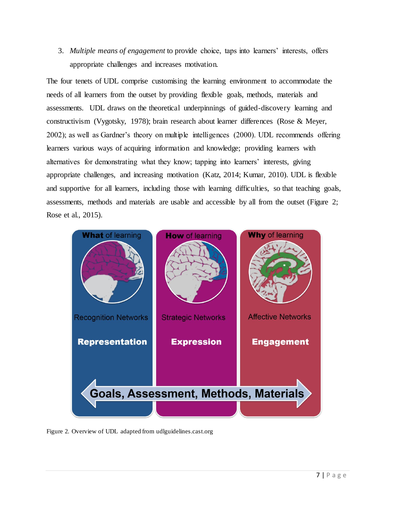3. *Multiple means of engagement* to provide choice, taps into learners' interests, offers appropriate challenges and increases motivation.

The four tenets of UDL comprise customising the learning environment to accommodate the needs of all learners from the outset by providing flexible goals, methods, materials and assessments. UDL draws on the theoretical underpinnings of guided-discovery learning and constructivism (Vygotsky, 1978); brain research about learner differences (Rose & Meyer, 2002); as well as Gardner's theory on multiple intelligences (2000). UDL recommends offering learners various ways of acquiring information and knowledge; providing learners with alternatives for demonstrating what they know; tapping into learners' interests, giving appropriate challenges, and increasing motivation (Katz, 2014; Kumar, 2010). UDL is flexible and supportive for all learners, including those with learning difficulties, so that teaching goals, assessments, methods and materials are usable and accessible by all from the outset (Figure 2; Rose et al., 2015).



Figure 2. Overview of UDL adapted from udlguidelines.cast.org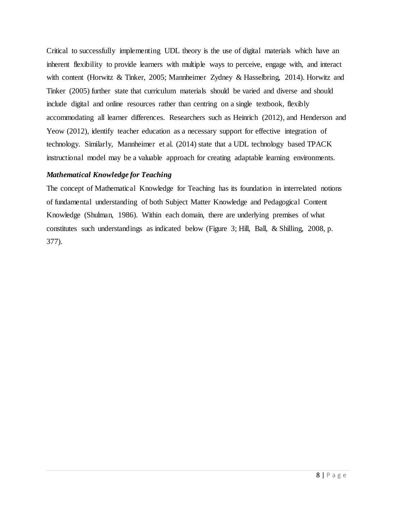Critical to successfully implementing UDL theory is the use of digital materials which have an inherent flexibility to provide learners with multiple ways to perceive, engage with, and interact with content (Horwitz & Tinker, 2005; Mannheimer Zydney & Hasselbring, 2014). Horwitz and Tinker (2005) further state that curriculum materials should be varied and diverse and should include digital and online resources rather than centring on a single textbook, flexibly accommodating all learner differences. Researchers such as Heinrich (2012), and Henderson and Yeow (2012), identify teacher education as a necessary support for effective integration of technology. Similarly, Mannheimer et al. (2014) state that a UDL technology based TPACK instructional model may be a valuable approach for creating adaptable learning environments.

#### <span id="page-8-0"></span>*Mathematical Knowledge for Teaching*

The concept of Mathematical Knowledge for Teaching has its foundation in interrelated notions of fundamental understanding of both Subject Matter Knowledge and Pedagogical Content Knowledge (Shulman, 1986). Within each domain, there are underlying premises of what constitutes such understandings as indicated below (Figure 3; Hill, Ball, & Shilling, 2008, p. 377).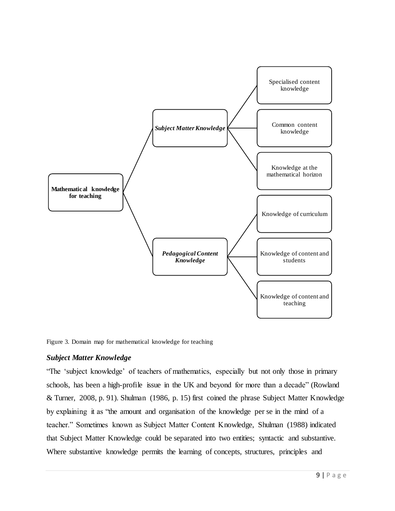

Figure 3. Domain map for mathematical knowledge for teaching

# <span id="page-9-0"></span>*Subject Matter Knowledge*

"The 'subject knowledge' of teachers of mathematics, especially but not only those in primary schools, has been a high-profile issue in the UK and beyond for more than a decade" (Rowland & Turner, 2008, p. 91). Shulman (1986, p. 15) first coined the phrase Subject Matter Knowledge by explaining it as "the amount and organisation of the knowledge per se in the mind of a teacher." Sometimes known as Subject Matter Content Knowledge, Shulman (1988) indicated that Subject Matter Knowledge could be separated into two entities; syntactic and substantive. Where substantive knowledge permits the learning of concepts, structures, principles and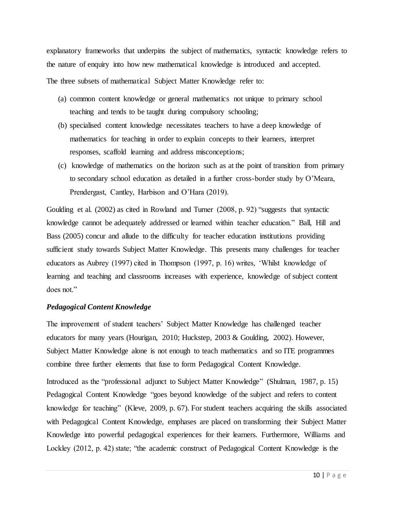explanatory frameworks that underpins the subject of mathematics, syntactic knowledge refers to the nature of enquiry into how new mathematical knowledge is introduced and accepted. The three subsets of mathematical Subject Matter Knowledge refer to:

- (a) common content knowledge or general mathematics not unique to primary school teaching and tends to be taught during compulsory schooling;
- (b) specialised content knowledge necessitates teachers to have a deep knowledge of mathematics for teaching in order to explain concepts to their learners, interpret responses, scaffold learning and address misconceptions;
- (c) knowledge of mathematics on the horizon such as at the point of transition from primary to secondary school education as detailed in a further cross-border study by O'Meara, Prendergast, Cantley, Harbison and O'Hara (2019).

Goulding et al. (2002) as cited in Rowland and Turner (2008, p. 92) "suggests that syntactic knowledge cannot be adequately addressed or learned within teacher education." Ball, Hill and Bass (2005) concur and allude to the difficulty for teacher education institutions providing sufficient study towards Subject Matter Knowledge. This presents many challenges for teacher educators as Aubrey (1997) cited in Thompson (1997, p. 16) writes, 'Whilst knowledge of learning and teaching and classrooms increases with experience, knowledge of subject content does not."

#### *Pedagogical Content Knowledge*

The improvement of student teachers' Subject Matter Knowledge has challenged teacher educators for many years (Hourigan, 2010; Huckstep, 2003 & Goulding, 2002). However, Subject Matter Knowledge alone is not enough to teach mathematics and so ITE programmes combine three further elements that fuse to form Pedagogical Content Knowledge.

Introduced as the "professional adjunct to Subject Matter Knowledge" (Shulman, 1987, p. 15) Pedagogical Content Knowledge "goes beyond knowledge of the subject and refers to content knowledge for teaching" (Kleve, 2009, p. 67). For student teachers acquiring the skills associated with Pedagogical Content Knowledge, emphases are placed on transforming their Subject Matter Knowledge into powerful pedagogical experiences for their learners. Furthermore, Williams and Lockley (2012, p. 42) state; "the academic construct of Pedagogical Content Knowledge is the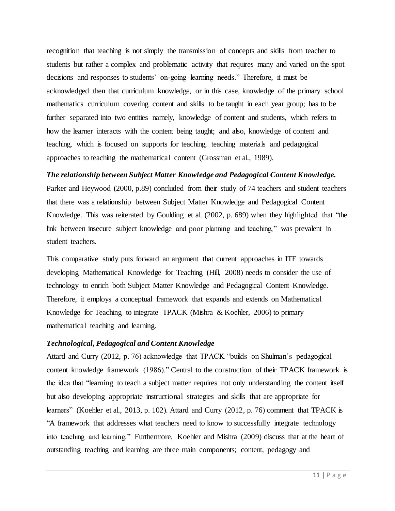recognition that teaching is not simply the transmission of concepts and skills from teacher to students but rather a complex and problematic activity that requires many and varied on the spot decisions and responses to students' on-going learning needs." Therefore, it must be acknowledged then that curriculum knowledge, or in this case, knowledge of the primary school mathematics curriculum covering content and skills to be taught in each year group; has to be further separated into two entities namely, knowledge of content and students, which refers to how the learner interacts with the content being taught; and also, knowledge of content and teaching, which is focused on supports for teaching, teaching materials and pedagogical approaches to teaching the mathematical content (Grossman et al., 1989).

#### <span id="page-11-0"></span>*The relationship between Subject Matter Knowledge and Pedagogical Content Knowledge.*

Parker and Heywood (2000, p.89) concluded from their study of 74 teachers and student teachers that there was a relationship between Subject Matter Knowledge and Pedagogical Content Knowledge. This was reiterated by Goulding et al. (2002, p. 689) when they highlighted that "the link between insecure subject knowledge and poor planning and teaching," was prevalent in student teachers.

This comparative study puts forward an argument that current approaches in ITE towards developing Mathematical Knowledge for Teaching (Hill, 2008) needs to consider the use of technology to enrich both Subject Matter Knowledge and Pedagogical Content Knowledge. Therefore, it employs a conceptual framework that expands and extends on Mathematical Knowledge for Teaching to integrate TPACK (Mishra & Koehler, 2006) to primary mathematical teaching and learning.

#### <span id="page-11-1"></span>*Technological, Pedagogical and Content Knowledge*

Attard and Curry (2012, p. 76) acknowledge that TPACK "builds on Shulman's pedagogical content knowledge framework (1986)." Central to the construction of their TPACK framework is the idea that "learning to teach a subject matter requires not only understanding the content itself but also developing appropriate instructional strategies and skills that are appropriate for learners" (Koehler et al., 2013, p. 102). Attard and Curry (2012, p. 76) comment that TPACK is "A framework that addresses what teachers need to know to successfully integrate technology into teaching and learning." Furthermore, Koehler and Mishra (2009) discuss that at the heart of outstanding teaching and learning are three main components; content, pedagogy and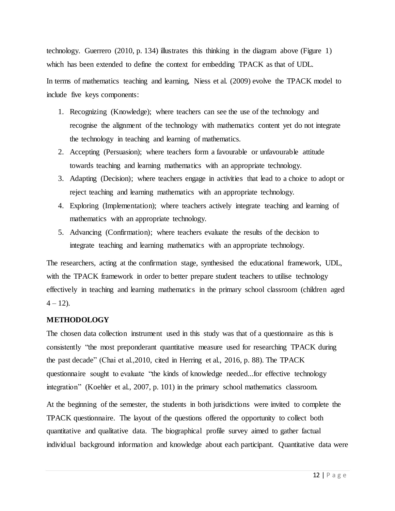technology. Guerrero (2010, p. 134) illustrates this thinking in the diagram above (Figure 1) which has been extended to define the context for embedding TPACK as that of UDL. In terms of mathematics teaching and learning, Niess et al. (2009) evolve the TPACK model to include five keys components:

- 1. Recognizing (Knowledge); where teachers can see the use of the technology and recognise the alignment of the technology with mathematics content yet do not integrate the technology in teaching and learning of mathematics.
- 2. Accepting (Persuasion); where teachers form a favourable or unfavourable attitude towards teaching and learning mathematics with an appropriate technology.
- 3. Adapting (Decision); where teachers engage in activities that lead to a choice to adopt or reject teaching and learning mathematics with an appropriate technology.
- 4. Exploring (Implementation); where teachers actively integrate teaching and learning of mathematics with an appropriate technology.
- 5. Advancing (Confirmation); where teachers evaluate the results of the decision to integrate teaching and learning mathematics with an appropriate technology.

The researchers, acting at the confirmation stage, synthesised the educational framework, UDL, with the TPACK framework in order to better prepare student teachers to utilise technology effectively in teaching and learning mathematics in the primary school classroom (children aged  $4 - 12$ ).

#### <span id="page-12-0"></span>**METHODOLOGY**

The chosen data collection instrument used in this study was that of a questionnaire as this is consistently "the most preponderant quantitative measure used for researching TPACK during the past decade" (Chai et al.,2010, cited in Herring et al., 2016, p. 88). The TPACK questionnaire sought to evaluate "the kinds of knowledge needed...for effective technology integration" (Koehler et al., 2007, p. 101) in the primary school mathematics classroom.

At the beginning of the semester, the students in both jurisdictions were invited to complete the TPACK questionnaire. The layout of the questions offered the opportunity to collect both quantitative and qualitative data. The biographical profile survey aimed to gather factual individual background information and knowledge about each participant. Quantitative data were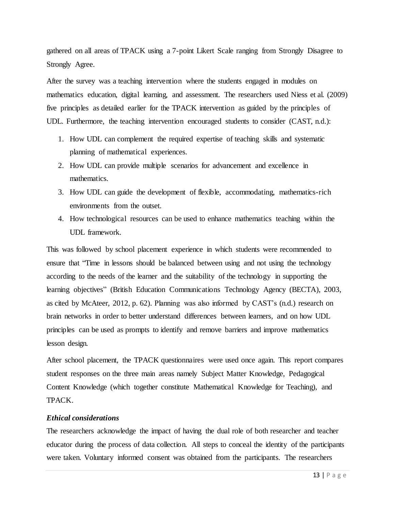gathered on all areas of TPACK using a 7-point Likert Scale ranging from Strongly Disagree to Strongly Agree.

After the survey was a teaching intervention where the students engaged in modules on mathematics education, digital learning, and assessment. The researchers used Niess et al. (2009) five principles as detailed earlier for the TPACK intervention as guided by the principles of UDL. Furthermore, the teaching intervention encouraged students to consider (CAST, n.d.):

- 1. How UDL can complement the required expertise of teaching skills and systematic planning of mathematical experiences.
- 2. How UDL can provide multiple scenarios for advancement and excellence in mathematics.
- 3. How UDL can guide the development of flexible, accommodating, mathematics-rich environments from the outset.
- 4. How technological resources can be used to enhance mathematics teaching within the UDL framework.

This was followed by school placement experience in which students were recommended to ensure that "Time in lessons should be balanced between using and not using the technology according to the needs of the learner and the suitability of the technology in supporting the learning objectives" (British Education Communications Technology Agency (BECTA), 2003, as cited by McAteer, 2012, p. 62). Planning was also informed by CAST's (n.d.) research on brain networks in order to better understand differences between learners, and on how UDL principles can be used as prompts to identify and remove barriers and improve mathematics lesson design.

After school placement, the TPACK questionnaires were used once again. This report compares student responses on the three main areas namely Subject Matter Knowledge, Pedagogical Content Knowledge (which together constitute Mathematical Knowledge for Teaching), and TPACK.

#### <span id="page-13-0"></span>*Ethical considerations*

The researchers acknowledge the impact of having the dual role of both researcher and teacher educator during the process of data collection. All steps to conceal the identity of the participants were taken. Voluntary informed consent was obtained from the participants. The researchers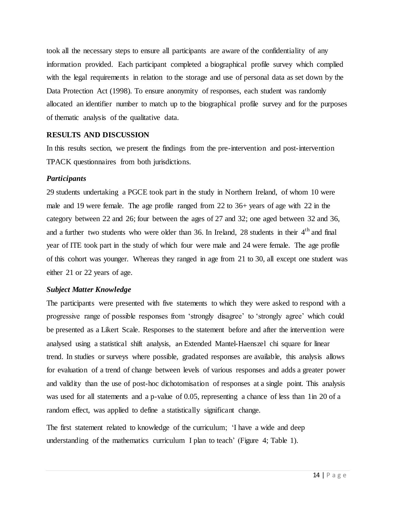took all the necessary steps to ensure all participants are aware of the confidentiality of any information provided. Each participant completed a biographical profile survey which complied with the legal requirements in relation to the storage and use of personal data as set down by the Data Protection Act (1998). To ensure anonymity of responses, each student was randomly allocated an identifier number to match up to the biographical profile survey and for the purposes of thematic analysis of the qualitative data.

# <span id="page-14-0"></span>**RESULTS AND DISCUSSION**

In this results section, we present the findings from the pre-intervention and post-intervention TPACK questionnaires from both jurisdictions.

# <span id="page-14-1"></span>*Participants*

29 students undertaking a PGCE took part in the study in Northern Ireland, of whom 10 were male and 19 were female. The age profile ranged from 22 to 36+ years of age with 22 in the category between 22 and 26; four between the ages of 27 and 32; one aged between 32 and 36, and a further two students who were older than 36. In Ireland, 28 students in their  $4<sup>th</sup>$  and final year of ITE took part in the study of which four were male and 24 were female. The age profile of this cohort was younger. Whereas they ranged in age from 21 to 30, all except one student was either 21 or 22 years of age.

# <span id="page-14-2"></span>*Subject Matter Knowledge*

The participants were presented with five statements to which they were asked to respond with a progressive range of possible responses from 'strongly disagree' to 'strongly agree' which could be presented as a Likert Scale. Responses to the statement before and after the intervention were analysed using a statistical shift analysis, an Extended Mantel-Haenszel chi square for linear trend. In studies or surveys where possible, gradated responses are available, this analysis allows for evaluation of a trend of change between levels of various responses and adds a greater power and validity than the use of post-hoc dichotomisation of responses at a single point. This analysis was used for all statements and a p-value of 0.05, representing a chance of less than 1 in 20 of a random effect, was applied to define a statistically significant change.

The first statement related to knowledge of the curriculum; 'I have a wide and deep understanding of the mathematics curriculum I plan to teach' (Figure 4; Table 1).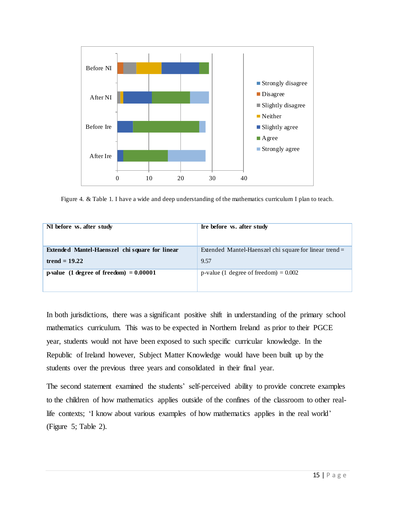

Figure 4. & Table 1. I have a wide and deep understanding of the mathematics curriculum I plan to teach.

| NI before <i>vs.</i> after study               | Ire before <i>vs.</i> after study                        |
|------------------------------------------------|----------------------------------------------------------|
| Extended Mantel-Haenszel chi square for linear | Extended Mantel-Haenszel chi square for linear trend $=$ |
| trend $= 19.22$                                | 9.57                                                     |
| p-value (1 degree of freedom) $= 0.00001$      | p-value (1 degree of freedom) = $0.002$                  |

In both jurisdictions, there was a significant positive shift in understanding of the primary school mathematics curriculum. This was to be expected in Northern Ireland as prior to their PGCE year, students would not have been exposed to such specific curricular knowledge. In the Republic of Ireland however, Subject Matter Knowledge would have been built up by the students over the previous three years and consolidated in their final year.

The second statement examined the students' self-perceived ability to provide concrete examples to the children of how mathematics applies outside of the confines of the classroom to other reallife contexts; 'I know about various examples of how mathematics applies in the real world' (Figure 5; Table 2).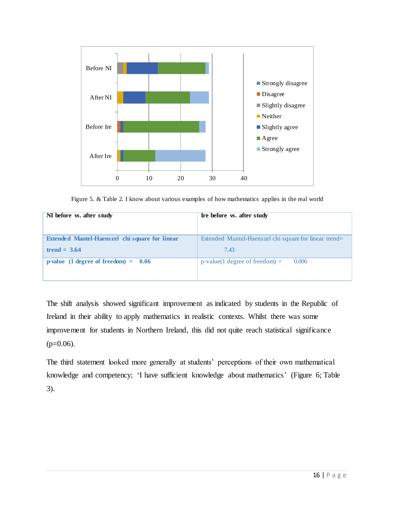

Figure 5. & Table 2. I know about various examples of how mathematics applies in the real world

| NI before <i>vs.</i> after study                      | Ire before <i>vs.</i> after study                     |  |  |
|-------------------------------------------------------|-------------------------------------------------------|--|--|
| <b>Extended Mantel-Haenszel chi square for linear</b> | Extended Mantel-Haenszel chi square for linear trend= |  |  |
| trend = $3.64$                                        | 7.43                                                  |  |  |
| p-value $(1$ degree of freedom $) = 0.06$             | $p-value(1 degree of freedom) =$<br>0.006             |  |  |

The shift analysis showed significant improvement as indicated by students in the Republic of Ireland in their ability to apply mathematics in realistic contexts. Whilst there was some improvement for students in Northern Ireland, this did not quite reach statistical significance  $(p=0.06)$ .

The third statement looked more generally at students' perceptions of their own mathematical knowledge and competency; 'I have sufficient knowledge about mathematics' (Figure 6; Table 3).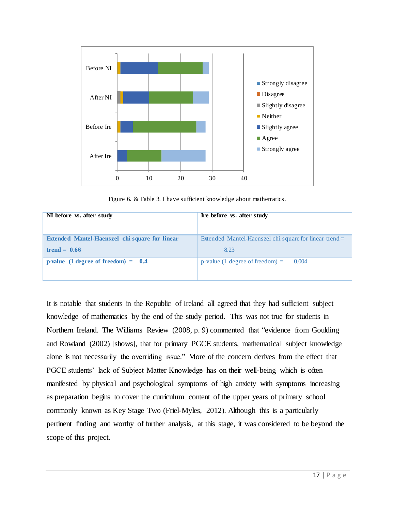

Figure 6. & Table 3. I have sufficient knowledge about mathematics.

| NI before <i>vs.</i> after study                      | Ire before <i>vs.</i> after study                      |
|-------------------------------------------------------|--------------------------------------------------------|
| <b>Extended Mantel-Haenszel chi square for linear</b> | Extended Mantel-Haenszel chi square for linear trend = |
| trend $= 0.66$                                        | 8.23                                                   |
| <b>p-value</b> (1 degree of freedom) = $0.4$          | p-value (1 degree of freedom) $=$<br>0.004             |

It is notable that students in the Republic of Ireland all agreed that they had sufficient subject knowledge of mathematics by the end of the study period. This was not true for students in Northern Ireland. The Williams Review (2008, p. 9) commented that "evidence from Goulding and Rowland (2002) [shows], that for primary PGCE students, mathematical subject knowledge alone is not necessarily the overriding issue." More of the concern derives from the effect that PGCE students' lack of Subject Matter Knowledge has on their well-being which is often manifested by physical and psychological symptoms of high anxiety with symptoms increasing as preparation begins to cover the curriculum content of the upper years of primary school commonly known as Key Stage Two (Friel-Myles, 2012). Although this is a particularly pertinent finding and worthy of further analysis, at this stage, it was considered to be beyond the scope of this project.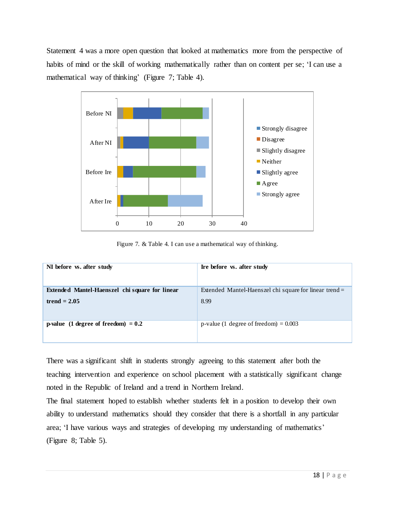Statement 4 was a more open question that looked at mathematics more from the perspective of habits of mind or the skill of working mathematically rather than on content per se; 'I can use a mathematical way of thinking' (Figure 7; Table 4).



Figure 7. & Table 4. I can use a mathematical way of thinking.

| NI before vs. after study                             | In the before vs. after study                            |
|-------------------------------------------------------|----------------------------------------------------------|
| <b>Extended Mantel-Haenszel chi square for linear</b> | Extended Mantel-Haenszel chi square for linear trend $=$ |
| trend $= 2.05$                                        | 8.99                                                     |
| <b>p-value</b> (1 degree of freedom) $= 0.2$          | p-value (1 degree of freedom) = $0.003$                  |

There was a significant shift in students strongly agreeing to this statement after both the teaching intervention and experience on school placement with a statistically significant change noted in the Republic of Ireland and a trend in Northern Ireland.

The final statement hoped to establish whether students felt in a position to develop their own ability to understand mathematics should they consider that there is a shortfall in any particular area; 'I have various ways and strategies of developing my understanding of mathematics' (Figure 8; Table 5).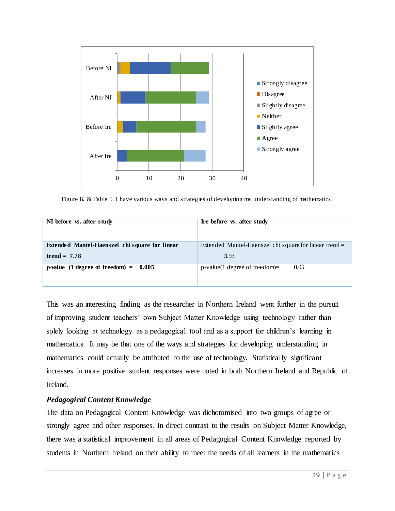

Figure 8. & Table 5. I have various ways and strategies of developing my understanding of mathematics.

| NI before <i>vs.</i> after study                | Ire before <i>vs.</i> after study                        |
|-------------------------------------------------|----------------------------------------------------------|
| Extended Mantel-Haenszel chi square for linear  | Extended Mantel-Haenszel chi square for linear trend $=$ |
| trend = $7.78$                                  | 3.93                                                     |
| p-value $(1 \text{ degree of freedom}) = 0.005$ | $p$ -value(1 degree of freedom)=<br>0.05                 |

This was an interesting finding as the researcher in Northern Ireland went further in the pursuit of improving student teachers' own Subject Matter Knowledge using technology rather than solely looking at technology as a pedagogical tool and as a support for children's learning in mathematics. It may be that one of the ways and strategies for developing understanding in mathematics could actually be attributed to the use of technology. Statistically significant increases in more positive student responses were noted in both Northern Ireland and Republic of Ireland.

# <span id="page-19-0"></span>*Pedagogical Content Knowledge*

The data on Pedagogical Content Knowledge was dichotomised into two groups of agree or strongly agree and other responses. In direct contrast to the results on Subject Matter Knowledge, there was a statistical improvement in all areas of Pedagogical Content Knowledge reported by students in Northern Ireland on their ability to meet the needs of all learners in the mathematics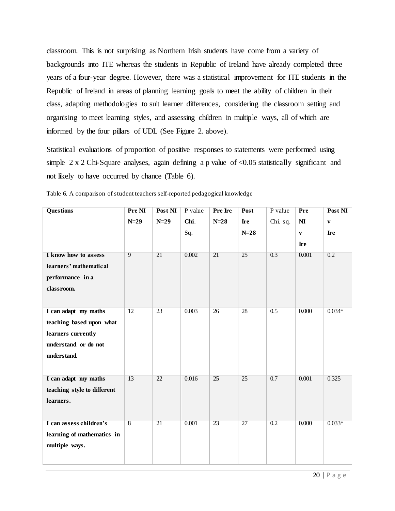classroom. This is not surprising as Northern Irish students have come from a variety of backgrounds into ITE whereas the students in Republic of Ireland have already completed three years of a four-year degree. However, there was a statistical improvement for ITE students in the Republic of Ireland in areas of planning learning goals to meet the ability of children in their class, adapting methodologies to suit learner differences, considering the classroom setting and organising to meet learning styles, and assessing children in multiple ways, all of which are informed by the four pillars of UDL (See Figure 2. above).

Statistical evaluations of proportion of positive responses to statements were performed using simple 2 x 2 Chi-Square analyses, again defining a p value of <0.05 statistically significant and not likely to have occurred by chance (Table 6).

| <b>Questions</b>            | Pre NI         | Post NI         | P value | <b>Pre Ire</b>  | Post            | P value          | Pre                    | Post NI      |
|-----------------------------|----------------|-----------------|---------|-----------------|-----------------|------------------|------------------------|--------------|
|                             | $N=29$         | $N=29$          | Chi.    | $N=28$          | Ire             | Chi. sq.         | $\mathbf{N}\mathbf{I}$ | $\mathbf{V}$ |
|                             |                |                 | Sq.     |                 | $N=28$          |                  | $\mathbf{V}$           | <b>Ire</b>   |
|                             |                |                 |         |                 |                 |                  | Ire                    |              |
| I know how to assess        | $\overline{9}$ | $\overline{21}$ | 0.002   | $\overline{21}$ | 25              | 0.3              | 0.001                  | 0.2          |
| learners' mathematical      |                |                 |         |                 |                 |                  |                        |              |
| performance in a            |                |                 |         |                 |                 |                  |                        |              |
| classroom.                  |                |                 |         |                 |                 |                  |                        |              |
|                             |                |                 |         |                 |                 |                  |                        |              |
| I can adapt my maths        | 12             | 23              | 0.003   | 26              | 28              | 0.5              | 0.000                  | $0.034*$     |
| teaching based upon what    |                |                 |         |                 |                 |                  |                        |              |
| learners currently          |                |                 |         |                 |                 |                  |                        |              |
| understand or do not        |                |                 |         |                 |                 |                  |                        |              |
| understand.                 |                |                 |         |                 |                 |                  |                        |              |
|                             |                |                 |         |                 |                 |                  |                        |              |
| I can adapt my maths        | 13             | 22              | 0.016   | 25              | 25              | 0.7              | 0.001                  | 0.325        |
| teaching style to different |                |                 |         |                 |                 |                  |                        |              |
| learners.                   |                |                 |         |                 |                 |                  |                        |              |
|                             |                |                 |         |                 |                 |                  |                        |              |
| I can assess children's     | $\overline{8}$ | 21              | 0.001   | $\overline{23}$ | $\overline{27}$ | $\overline{0.2}$ | 0.000                  | $0.033*$     |
| learning of mathematics in  |                |                 |         |                 |                 |                  |                        |              |
| multiple ways.              |                |                 |         |                 |                 |                  |                        |              |
|                             |                |                 |         |                 |                 |                  |                        |              |

Table 6. A comparison of student teachers self-reported pedagogical knowledge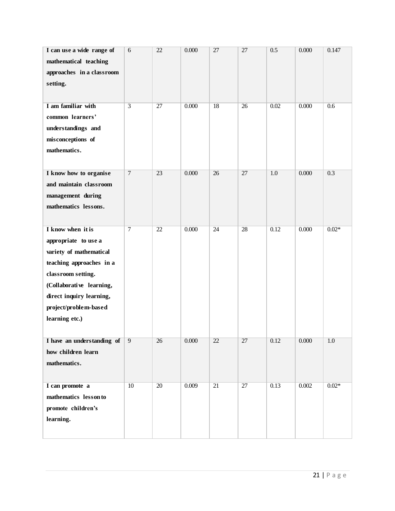| I can use a wide range of<br>mathematical teaching<br>approaches in a classroom<br>setting.<br>I am familiar with<br>common learners'<br>understandings and<br>misconceptions of<br>mathematics.                          | 6<br>$\overline{3}$ | 22<br>$\overline{27}$ | 0.000<br>0.000 | 27<br>$\overline{18}$ | 27<br>$\overline{26}$ | 0.5<br>0.02 | 0.000<br>0.000 | 0.147<br>0.6 |
|---------------------------------------------------------------------------------------------------------------------------------------------------------------------------------------------------------------------------|---------------------|-----------------------|----------------|-----------------------|-----------------------|-------------|----------------|--------------|
| I know how to organise<br>and maintain classroom<br>management during<br>mathematics lessons.                                                                                                                             | $\overline{7}$      | 23                    | 0.000          | 26                    | 27                    | 1.0         | 0.000          | 0.3          |
| I know when it is<br>appropriate to use a<br>variety of mathematical<br>teaching approaches in a<br>classroom setting.<br>(Collaborative learning,<br>direct inquiry learning,<br>project/problem-based<br>learning etc.) | $\overline{7}$      | 22                    | 0.000          | 24                    | 28                    | 0.12        | 0.000          | $0.02*$      |
| I have an understanding of<br>how children learn<br>mathematics.                                                                                                                                                          | 9                   | 26                    | 0.000          | $\overline{22}$       | $\overline{27}$       | 0.12        | 0.000          | 1.0          |
| I can promote a<br>mathematics lesson to<br>promote children's<br>learning.                                                                                                                                               | 10                  | $\overline{20}$       | 0.009          | 21                    | 27                    | 0.13        | 0.002          | $0.02*$      |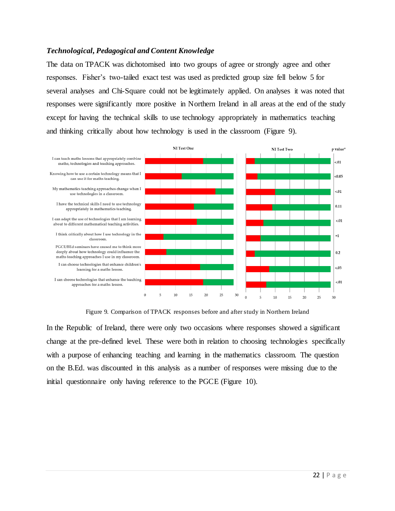# <span id="page-22-0"></span>*Technological, Pedagogical and Content Knowledge*

The data on TPACK was dichotomised into two groups of agree or strongly agree and other responses. Fisher's two-tailed exact test was used as predicted group size fell below 5 for several analyses and Chi-Square could not be legitimately applied. On analyses it was noted that responses were significantly more positive in Northern Ireland in all areas at the end of the study except for having the technical skills to use technology appropriately in mathematics teaching and thinking critically about how technology is used in the classroom (Figure 9).



Figure 9. Comparison of TPACK responses before and after study in Northern Ireland

In the Republic of Ireland, there were only two occasions where responses showed a significant change at the pre-defined level. These were both in relation to choosing technologies specifically with a purpose of enhancing teaching and learning in the mathematics classroom. The question on the B.Ed. was discounted in this analysis as a number of responses were missing due to the initial questionnaire only having reference to the PGCE (Figure 10).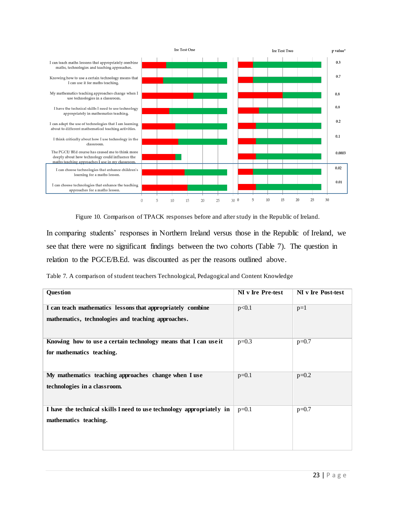

Figure 10. Comparison of TPACK responses before and after study in the Republic of Ireland.

In comparing students' responses in Northern Ireland versus those in the Republic of Ireland, we see that there were no significant findings between the two cohorts (Table 7). The question in relation to the PGCE/B.Ed. was discounted as per the reasons outlined above.

Table 7. A comparison of student teachers Technological, Pedagogical and Content Knowledge

| Question                                                                                                         | NI v Ire Pre-test | NI v Ire Post-test |
|------------------------------------------------------------------------------------------------------------------|-------------------|--------------------|
| I can teach mathematics lessons that appropriately combine<br>mathematics, technologies and teaching approaches. | p<0.1             | $p=1$              |
| Knowing how to use a certain technology means that I can use it<br>for mathematics teaching.                     | $p=0.3$           | $p=0.7$            |
| My mathematics teaching approaches change when I use<br>technologies in a classroom.                             | $p=0.1$           | $p=0.2$            |
| I have the technical skills I need to use technology appropriately in<br>mathematics teaching.                   | $p=0.1$           | $p=0.7$            |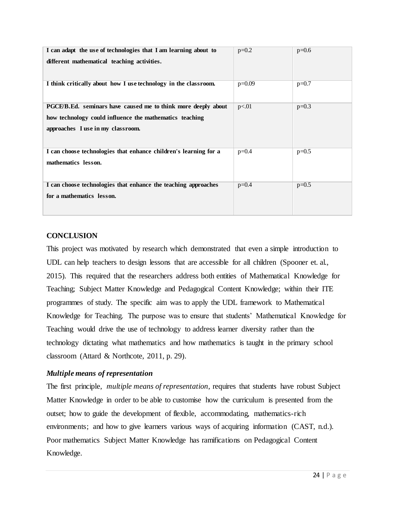| I can adapt the use of technologies that I am learning about to<br>different mathematical teaching activities.                                                | $p=0.2$  | $p=0.6$ |
|---------------------------------------------------------------------------------------------------------------------------------------------------------------|----------|---------|
| I think critically about how I use technology in the classroom.                                                                                               | $p=0.09$ | $p=0.7$ |
| PGCE/B.Ed. seminars have caused me to think more deeply about<br>how technology could influence the mathematics teaching<br>approaches I use in my classroom. | p<.01    | $p=0.3$ |
| I can choose technologies that enhance children's learning for a<br>mathematics lesson.                                                                       | $p=0.4$  | $p=0.5$ |
| I can choose technologies that enhance the teaching approaches<br>for a mathematics lesson.                                                                   | $p=0.4$  | $p=0.5$ |

# <span id="page-24-0"></span>**CONCLUSION**

This project was motivated by research which demonstrated that even a simple introduction to UDL can help teachers to design lessons that are accessible for all children (Spooner et. al., 2015). This required that the researchers address both entities of Mathematical Knowledge for Teaching; Subject Matter Knowledge and Pedagogical Content Knowledge; within their ITE programmes of study. The specific aim was to apply the UDL framework to Mathematical Knowledge for Teaching. The purpose was to ensure that students' Mathematical Knowledge for Teaching would drive the use of technology to address learner diversity rather than the technology dictating what mathematics and how mathematics is taught in the primary school classroom (Attard & Northcote, 2011, p. 29).

#### <span id="page-24-1"></span>*Multiple means of representation*

The first principle, *multiple means of representation*, requires that students have robust Subject Matter Knowledge in order to be able to customise how the curriculum is presented from the outset; how to guide the development of flexible, accommodating, mathematics-rich environments; and how to give learners various ways of acquiring information (CAST, n.d.). Poor mathematics Subject Matter Knowledge has ramifications on Pedagogical Content Knowledge.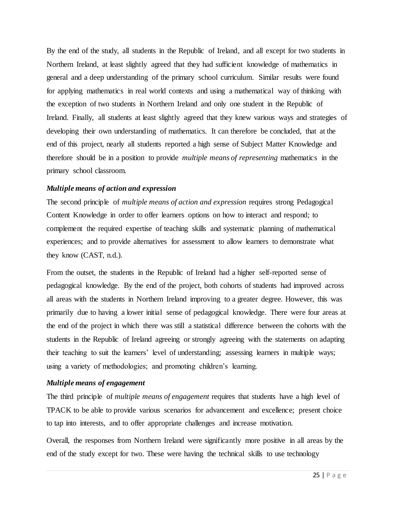By the end of the study, all students in the Republic of Ireland, and all except for two students in Northern Ireland, at least slightly agreed that they had sufficient knowledge of mathematics in general and a deep understanding of the primary school curriculum. Similar results were found for applying mathematics in real world contexts and using a mathematical way of thinking with the exception of two students in Northern Ireland and only one student in the Republic of Ireland. Finally, all students at least slightly agreed that they knew various ways and strategies of developing their own understanding of mathematics. It can therefore be concluded, that at the end of this project, nearly all students reported a high sense of Subject Matter Knowledge and therefore should be in a position to provide *multiple means of representing* mathematics in the primary school classroom.

# <span id="page-25-0"></span>*Multiple means of action and expression*

The second principle of *multiple means of action and expression* requires strong Pedagogical Content Knowledge in order to offer learners options on how to interact and respond; to complement the required expertise of teaching skills and systematic planning of mathematical experiences; and to provide alternatives for assessment to allow learners to demonstrate what they know (CAST, n.d.).

From the outset, the students in the Republic of Ireland had a higher self-reported sense of pedagogical knowledge. By the end of the project, both cohorts of students had improved across all areas with the students in Northern Ireland improving to a greater degree. However, this was primarily due to having a lower initial sense of pedagogical knowledge. There were four areas at the end of the project in which there was still a statistical difference between the cohorts with the students in the Republic of Ireland agreeing or strongly agreeing with the statements on adapting their teaching to suit the learners' level of understanding; assessing learners in multiple ways; using a variety of methodologies; and promoting children's learning.

# <span id="page-25-1"></span>*Multiple means of engagement*

The third principle of *multiple means of engagement* requires that students have a high level of TPACK to be able to provide various scenarios for advancement and excellence; present choice to tap into interests, and to offer appropriate challenges and increase motivation.

Overall, the responses from Northern Ireland were significantly more positive in all areas by the end of the study except for two. These were having the technical skills to use technology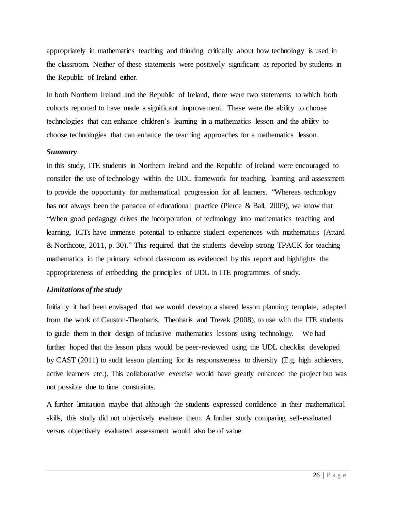appropriately in mathematics teaching and thinking critically about how technology is used in the classroom. Neither of these statements were positively significant as reported by students in the Republic of Ireland either.

In both Northern Ireland and the Republic of Ireland, there were two statements to which both cohorts reported to have made a significant improvement. These were the ability to choose technologies that can enhance children's learning in a mathematics lesson and the ability to choose technologies that can enhance the teaching approaches for a mathematics lesson.

#### <span id="page-26-0"></span>*Summary*

In this study, ITE students in Northern Ireland and the Republic of Ireland were encouraged to consider the use of technology within the UDL framework for teaching, learning and assessment to provide the opportunity for mathematical progression for all learners. "Whereas technology has not always been the panacea of educational practice (Pierce & Ball, 2009), we know that "When good pedagogy drives the incorporation of technology into mathematics teaching and learning, ICTs have immense potential to enhance student experiences with mathematics (Attard & Northcote, 2011, p. 30)." This required that the students develop strong TPACK for teaching mathematics in the primary school classroom as evidenced by this report and highlights the appropriateness of embedding the principles of UDL in ITE programmes of study.

#### *Limitations of the study*

Initially it had been envisaged that we would develop a shared lesson planning template, adapted from the work of Causton-Theoharis, Theoharis and Trezek (2008), to use with the ITE students to guide them in their design of inclusive mathematics lessons using technology. We had further hoped that the lesson plans would be peer-reviewed using the UDL checklist developed by CAST (2011) to audit lesson planning for its responsiveness to diversity (E.g. high achievers, active learners etc.). This collaborative exercise would have greatly enhanced the project but was not possible due to time constraints.

A further limitation maybe that although the students expressed confidence in their mathematical skills, this study did not objectively evaluate them. A further study comparing self-evaluated versus objectively evaluated assessment would also be of value.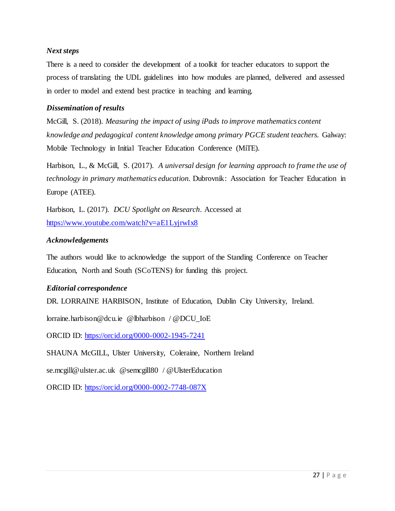# <span id="page-27-0"></span>*Next steps*

There is a need to consider the development of a toolkit for teacher educators to support the process of translating the UDL guidelines into how modules are planned, delivered and assessed in order to model and extend best practice in teaching and learning.

#### <span id="page-27-1"></span>*Dissemination of results*

McGill, S. (2018). *Measuring the impact of using iPads to improve mathematics content knowledge and pedagogical content knowledge among primary PGCE student teachers.* Galway: Mobile Technology in Initial Teacher Education Conference (MiTE).

Harbison, L., & McGill, S. (2017). *A universal design for learning approach to frame the use of technology in primary mathematics education.* Dubrovnik: Association for Teacher Education in Europe (ATEE).

Harbison, L. (2017). *DCU Spotlight on Research*. Accessed at <https://www.youtube.com/watch?v=aE1LyjrwIx8>

# *Acknowledgements*

The authors would like to acknowledge the support of the Standing Conference on Teacher Education, North and South (SCoTENS) for funding this project.

#### <span id="page-27-2"></span>*Editorial correspondence*

DR. LORRAINE HARBISON, Institute of Education, Dublin City University, Ireland.

lorraine.harbison@dcu.ie @lbharbison / @DCU\_IoE

ORCID ID:<https://orcid.org/0000-0002-1945-7241>

SHAUNA McGILL, Ulster University, Coleraine, Northern Ireland

se.mcgill@ulster.ac.uk @semcgill80 / @UlsterEducation

ORCID ID:<https://orcid.org/0000-0002-7748-087X>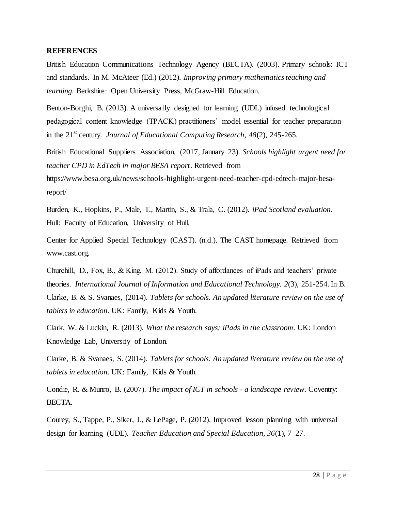#### <span id="page-28-0"></span>**REFERENCES**

British Education Communications Technology Agency (BECTA). (2003). Primary schools: ICT and standards. In M. McAteer (Ed.) (2012). *Improving primary mathematics teaching and learning.* Berkshire: Open University Press, McGraw-Hill Education.

Benton-Borghi, B. (2013). A universally designed for learning (UDL) infused technological pedagogical content knowledge (TPACK) practitioners' model essential for teacher preparation in the 21<sup>st</sup> century. *Journal of Educational Computing Research*, 48(2), 245-265.

British Educational Suppliers Association. (2017, January 23). *Schools highlight urgent need for teacher CPD in EdTech in major BESA report*. Retrieved from

https://www.besa.org.uk/news/schools-highlight-urgent-need-teacher-cpd-edtech-major-besareport/

Burden, K., Hopkins, P., Male, T., Martin, S., & Trala, C. (2012). *iPad Scotland evaluation*. Hull: Faculty of Education, University of Hull.

Center for Applied Special Technology (CAST). (n.d.). The CAST homepage. Retrieved from www.cast.org.

Churchill, D., Fox, B., & King, M. (2012). Study of affordances of iPads and teachers' private theories. *International Journal of Information and Educational Technology. 2*(3), 251-254. In B. Clarke, B. & S. Svanaes, (2014). *Tablets for schools. An updated literature review on the use of tablets in education*. UK: Family, Kids & Youth.

Clark, W. & Luckin, R. (2013). *What the research says; iPads in the classroom.* UK: London Knowledge Lab, University of London.

Clarke, B. & Svanaes, S. (2014). *Tablets for schools. An updated literature review on the use of tablets in education*. UK: Family, Kids & Youth.

Condie, R. & Munro, B. (2007). *The impact of ICT in schools - a landscape review.* Coventry: BECTA.

Courey, S., Tappe, P., Siker, J., & LePage, P. (2012). Improved lesson planning with universal design for learning (UDL). *Teacher Education and Special Education, 36*(1), 7–27.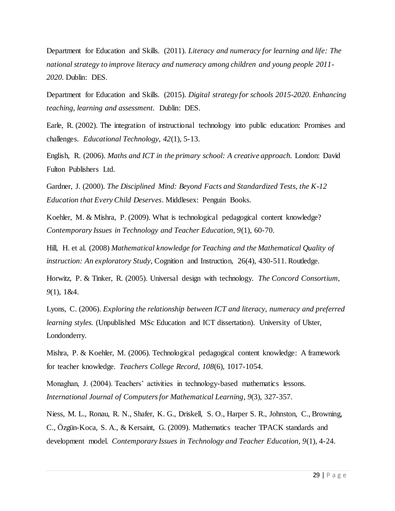Department for Education and Skills. (2011). *Literacy and numeracy for learning and life: The national strategy to improve literacy and numeracy among children and young people 2011- 2020.* Dublin: DES.

Department for Education and Skills. (2015). *Digital strategy for schools 2015-2020. Enhancing teaching, learning and assessment.* Dublin: DES.

Earle, R. (2002). The integration of instructional technology into public education: Promises and challenges. *Educational Technology, 42*(1), 5-13.

English, R. (2006). *Maths and ICT in the primary school: A creative approach.* London: David Fulton Publishers Ltd.

Gardner, J. (2000). *The Disciplined Mind: Beyond Facts and Standardized Tests, the K-12 Education that Every Child Deserves*. Middlesex: Penguin Books.

Koehler, M. & Mishra, P. (2009). What is technological pedagogical content knowledge? *Contemporary Issues in Technology and Teacher Education, 9*(1), 60-70.

Hill, H. et al. (2008) *Mathematical knowledge for Teaching and the Mathematical Quality of instruction: An exploratory Study*, Cognition and Instruction, 26(4), 430-511. Routledge.

Horwitz, P. & Tinker, R. (2005). Universal design with technology. *The Concord Consortium, 9*(1), 1&4.

Lyons, C. (2006). *Exploring the relationship between ICT and literacy, numeracy and preferred learning styles.* (Unpublished MSc Education and ICT dissertation). University of Ulster, Londonderry.

Mishra, P. & Koehler, M. (2006). Technological pedagogical content knowledge: A framework for teacher knowledge. *Teachers College Record, 108*(6), 1017-1054.

Monaghan, J. (2004). Teachers' activities in technology-based mathematics lessons. *International Journal of Computers for Mathematical Learning*, *9*(3), 327-357.

Niess, M. L., Ronau, R. N., Shafer, K. G., Driskell, S. O., Harper S. R., Johnston, C., Browning, C., Özgün-Koca, S. A., & Kersaint, G. (2009). Mathematics teacher TPACK standards and development model. *Contemporary Issues in Technology and Teacher Education, 9*(1), 4-24.